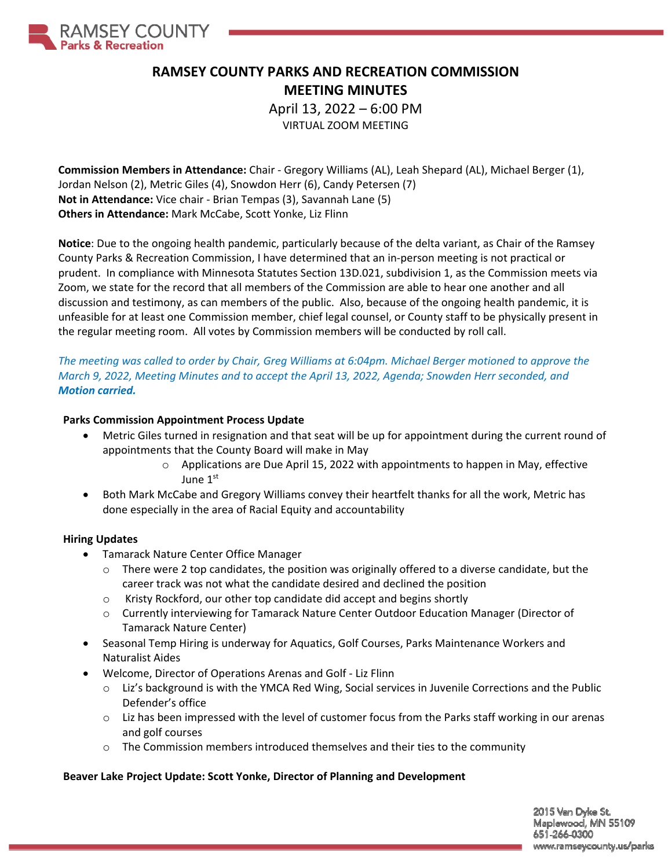

# **RAMSEY COUNTY PARKS AND RECREATION COMMISSION MEETING MINUTES**

April 13, 2022 – 6:00 PM VIRTUAL ZOOM MEETING

**Commission Members in Attendance:** Chair ‐ Gregory Williams (AL), Leah Shepard (AL), Michael Berger (1), Jordan Nelson (2), Metric Giles (4), Snowdon Herr (6), Candy Petersen (7) **Not in Attendance:** Vice chair ‐ Brian Tempas (3), Savannah Lane (5) **Others in Attendance:** Mark McCabe, Scott Yonke, Liz Flinn

**Notice**: Due to the ongoing health pandemic, particularly because of the delta variant, as Chair of the Ramsey County Parks & Recreation Commission, I have determined that an in‐person meeting is not practical or prudent. In compliance with Minnesota Statutes Section 13D.021, subdivision 1, as the Commission meets via Zoom, we state for the record that all members of the Commission are able to hear one another and all discussion and testimony, as can members of the public. Also, because of the ongoing health pandemic, it is unfeasible for at least one Commission member, chief legal counsel, or County staff to be physically present in the regular meeting room. All votes by Commission members will be conducted by roll call.

The meeting was called to order by Chair, Greg Williams at 6:04pm. Michael Berger motioned to approve the *March 9, 2022, Meeting Minutes and to accept the April 13, 2022, Agenda; Snowden Herr seconded, and Motion carried.*

#### **Parks Commission Appointment Process Update**

- Metric Giles turned in resignation and that seat will be up for appointment during the current round of appointments that the County Board will make in May
	- $\circ$  Applications are Due April 15, 2022 with appointments to happen in May, effective June 1st
- Both Mark McCabe and Gregory Williams convey their heartfelt thanks for all the work, Metric has done especially in the area of Racial Equity and accountability

#### **Hiring Updates**

- Tamarack Nature Center Office Manager
	- $\circ$  There were 2 top candidates, the position was originally offered to a diverse candidate, but the career track was not what the candidate desired and declined the position
	- $\circ$  Kristy Rockford, our other top candidate did accept and begins shortly
	- o Currently interviewing for Tamarack Nature Center Outdoor Education Manager (Director of Tamarack Nature Center)
- Seasonal Temp Hiring is underway for Aquatics, Golf Courses, Parks Maintenance Workers and Naturalist Aides
- Welcome, Director of Operations Arenas and Golf Liz Flinn
	- $\circ$  Liz's background is with the YMCA Red Wing, Social services in Juvenile Corrections and the Public Defender's office
	- $\circ$  Liz has been impressed with the level of customer focus from the Parks staff working in our arenas and golf courses
	- o The Commission members introduced themselves and their ties to the community

#### **Beaver Lake Project Update: Scott Yonke, Director of Planning and Development**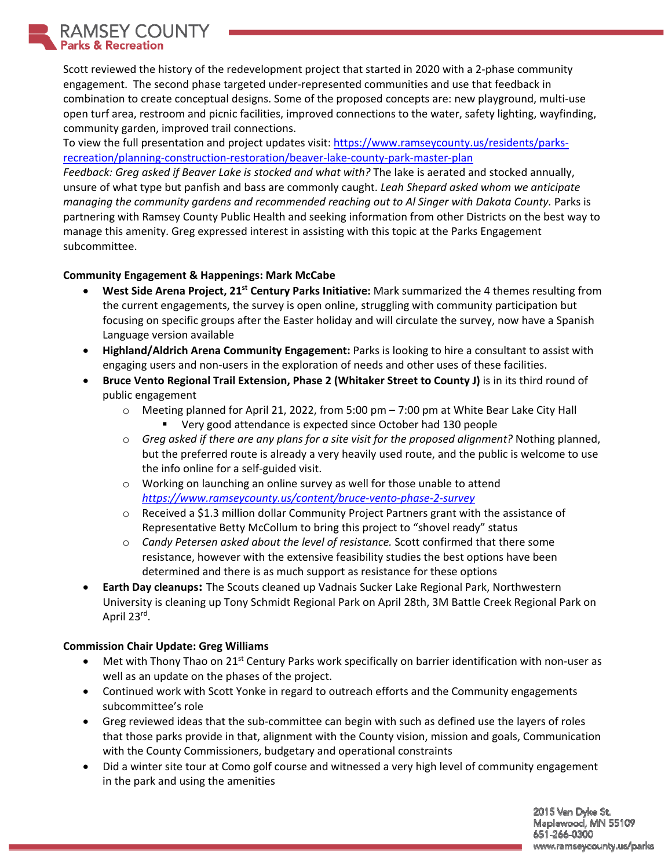**JSEY COUNTY** Parks & Recreation

Scott reviewed the history of the redevelopment project that started in 2020 with a 2‐phase community engagement. The second phase targeted under‐represented communities and use that feedback in combination to create conceptual designs. Some of the proposed concepts are: new playground, multi-use open turf area, restroom and picnic facilities, improved connections to the water, safety lighting, wayfinding, community garden, improved trail connections.

To view the full presentation and project updates visit: https://www.ramseycounty.us/residents/parksrecreation/planning‐construction‐restoration/beaver‐lake‐county‐park‐master‐plan

*Feedback: Greg asked if Beaver Lake is stocked and what with?* The lake is aerated and stocked annually, unsure of what type but panfish and bass are commonly caught. *Leah Shepard asked whom we anticipate managing the community gardens and recommended reaching out to Al Singer with Dakota County.* Parks is partnering with Ramsey County Public Health and seeking information from other Districts on the best way to manage this amenity. Greg expressed interest in assisting with this topic at the Parks Engagement subcommittee.

## **Community Engagement & Happenings: Mark McCabe**

- **West Side Arena Project, 21st Century Parks Initiative:** Mark summarized the 4 themes resulting from the current engagements, the survey is open online, struggling with community participation but focusing on specific groups after the Easter holiday and will circulate the survey, now have a Spanish Language version available
- **Highland/Aldrich Arena Community Engagement:** Parks is looking to hire a consultant to assist with engaging users and non-users in the exploration of needs and other uses of these facilities.
- **Bruce Vento Regional Trail Extension, Phase 2 (Whitaker Street to County J)** is in its third round of public engagement
	- o Meeting planned for April 21, 2022, from 5:00 pm 7:00 pm at White Bear Lake City Hall
		- Very good attendance is expected since October had 130 people
	- o *Greg asked if there are any plans for a site visit for the proposed alignment?* Nothing planned, but the preferred route is already a very heavily used route, and the public is welcome to use the info online for a self‐guided visit.
	- o Working on launching an online survey as well for those unable to attend *https://www.ramseycounty.us/content/bruce‐vento‐phase‐2‐survey*
	- $\circ$  Received a \$1.3 million dollar Community Project Partners grant with the assistance of Representative Betty McCollum to bring this project to "shovel ready" status
	- o *Candy Petersen asked about the level of resistance.* Scott confirmed that there some resistance, however with the extensive feasibility studies the best options have been determined and there is as much support as resistance for these options
- **Earth Day cleanups:** The Scouts cleaned up Vadnais Sucker Lake Regional Park, Northwestern University is cleaning up Tony Schmidt Regional Park on April 28th, 3M Battle Creek Regional Park on April 23rd.

### **Commission Chair Update: Greg Williams**

- $\bullet$  Met with Thony Thao on 21<sup>st</sup> Century Parks work specifically on barrier identification with non-user as well as an update on the phases of the project.
- Continued work with Scott Yonke in regard to outreach efforts and the Community engagements subcommittee's role
- Greg reviewed ideas that the sub-committee can begin with such as defined use the layers of roles that those parks provide in that, alignment with the County vision, mission and goals, Communication with the County Commissioners, budgetary and operational constraints
- Did a winter site tour at Como golf course and witnessed a very high level of community engagement in the park and using the amenities

2015 Van Dyke St. Maplewood, MN 55109 651-266-0300 www.ramseycounty.us/parks